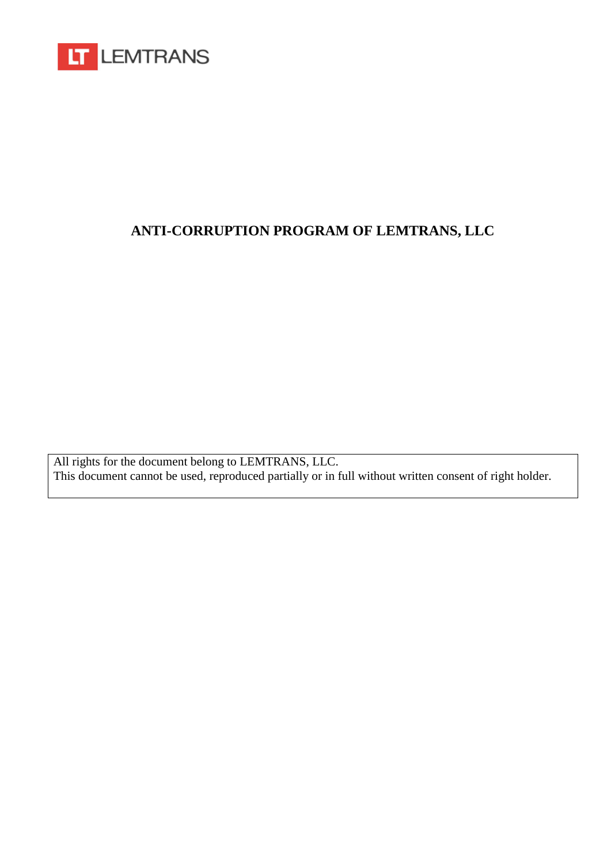

# **ANTI-CORRUPTION PROGRAM OF LEMTRANS, LLC**

All rights for the document belong to LEMTRANS, LLC. This document cannot be used, reproduced partially or in full without written consent of right holder.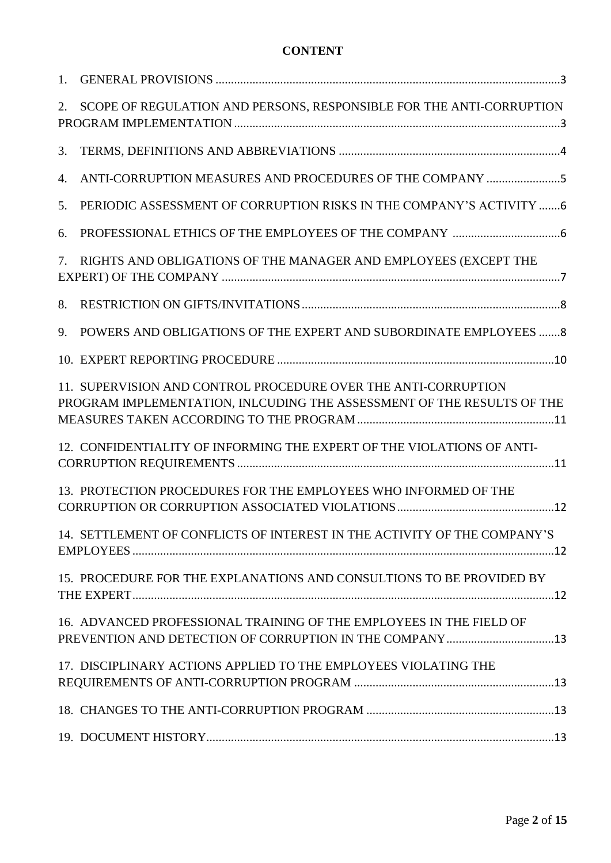## **CONTENT**

| 2. | SCOPE OF REGULATION AND PERSONS, RESPONSIBLE FOR THE ANTI-CORRUPTION                                                                     |
|----|------------------------------------------------------------------------------------------------------------------------------------------|
| 3. |                                                                                                                                          |
| 4. | ANTI-CORRUPTION MEASURES AND PROCEDURES OF THE COMPANY 5                                                                                 |
| 5. | PERIODIC ASSESSMENT OF CORRUPTION RISKS IN THE COMPANY'S ACTIVITY 6                                                                      |
| 6. |                                                                                                                                          |
| 7. | RIGHTS AND OBLIGATIONS OF THE MANAGER AND EMPLOYEES (EXCEPT THE                                                                          |
| 8. |                                                                                                                                          |
| 9. | POWERS AND OBLIGATIONS OF THE EXPERT AND SUBORDINATE EMPLOYEES  8                                                                        |
|    |                                                                                                                                          |
|    | 11. SUPERVISION AND CONTROL PROCEDURE OVER THE ANTI-CORRUPTION<br>PROGRAM IMPLEMENTATION, INLCUDING THE ASSESSMENT OF THE RESULTS OF THE |
|    | 12. CONFIDENTIALITY OF INFORMING THE EXPERT OF THE VIOLATIONS OF ANTI-                                                                   |
|    | 13. PROTECTION PROCEDURES FOR THE EMPLOYEES WHO INFORMED OF THE                                                                          |
|    | 14. SETTLEMENT OF CONFLICTS OF INTEREST IN THE ACTIVITY OF THE COMPANY'S                                                                 |
|    | 15. PROCEDURE FOR THE EXPLANATIONS AND CONSULTIONS TO BE PROVIDED BY                                                                     |
|    | 16. ADVANCED PROFESSIONAL TRAINING OF THE EMPLOYEES IN THE FIELD OF                                                                      |
|    | 17. DISCIPLINARY ACTIONS APPLIED TO THE EMPLOYEES VIOLATING THE                                                                          |
|    |                                                                                                                                          |
|    |                                                                                                                                          |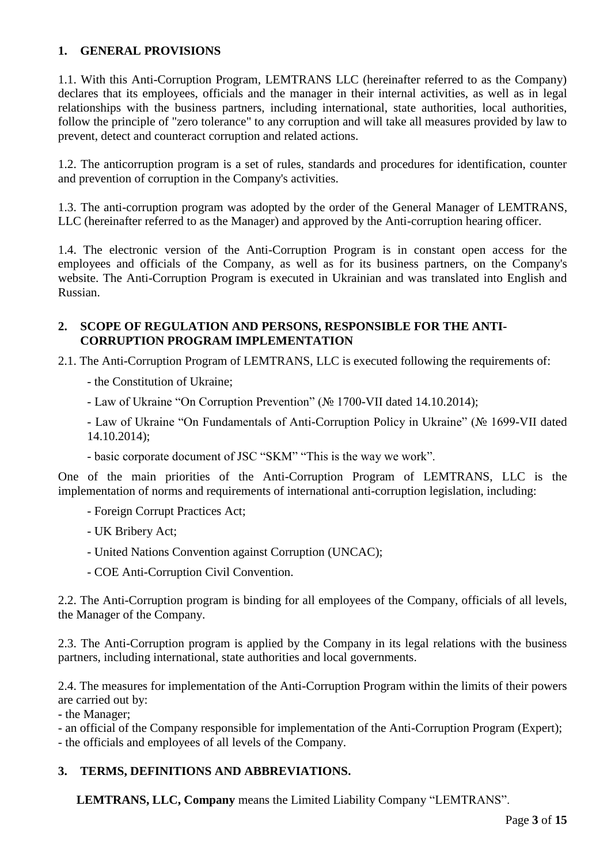## **1. GENERAL PROVISIONS**

1.1. With this Anti-Corruption Program, LEMTRANS LLC (hereinafter referred to as the Company) declares that its employees, officials and the manager in their internal activities, as well as in legal relationships with the business partners, including international, state authorities, local authorities, follow the principle of "zero tolerance" to any corruption and will take all measures provided by law to prevent, detect and counteract corruption and related actions.

1.2. The anticorruption program is a set of rules, standards and procedures for identification, counter and prevention of corruption in the Company's activities.

1.3. The anti-corruption program was adopted by the order of the General Manager of LEMTRANS, LLC (hereinafter referred to as the Manager) and approved by the Anti-corruption hearing officer.

1.4. The electronic version of the Anti-Corruption Program is in constant open access for the employees and officials of the Company, as well as for its business partners, on the Company's website. The Anti-Corruption Program is executed in Ukrainian and was translated into English and Russian.

## **2. SCOPE OF REGULATION AND PERSONS, RESPONSIBLE FOR THE ANTI-CORRUPTION PROGRAM IMPLEMENTATION**

2.1. The Anti-Corruption Program of LEMTRANS, LLC is executed following the requirements of:

- the Constitution of Ukraine;
- Law of Ukraine "On Corruption Prevention" (№ 1700-VII dated 14.10.2014);

- Law of Ukraine "On Fundamentals of Anti-Corruption Policy in Ukraine" (№ 1699-VII dated 14.10.2014);

- basic corporate document of JSC "SKM" "This is the way we work".

One of the main priorities of the Anti-Corruption Program of LEMTRANS, LLC is the implementation of norms and requirements of international anti-corruption legislation, including:

- Foreign Corrupt Practices Act;
- UK Bribery Act;
- United Nations Convention against Corruption (UNCAC);
- COE Anti-Corruption Civil Convention.

2.2. The Anti-Corruption program is binding for all employees of the Company, officials of all levels, the Manager of the Company.

2.3. The Anti-Corruption program is applied by the Company in its legal relations with the business partners, including international, state authorities and local governments.

2.4. The measures for implementation of the Anti-Corruption Program within the limits of their powers are carried out by:

- the Manager;

- an official of the Company responsible for implementation of the Anti-Corruption Program (Expert); - the officials and employees of all levels of the Company.

## **3. TERMS, DEFINITIONS AND ABBREVIATIONS.**

**LEMTRANS, LLC, Company** means the Limited Liability Company "LEMTRANS".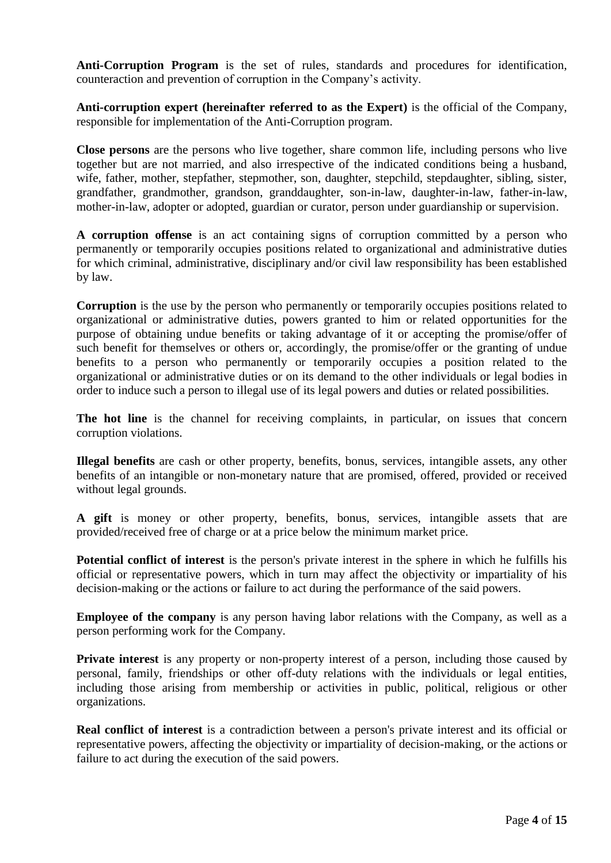**Anti-Corruption Program** is the set of rules, standards and procedures for identification, counteraction and prevention of corruption in the Company's activity.

**Anti-corruption expert (hereinafter referred to as the Expert)** is the official of the Company, responsible for implementation of the Anti-Corruption program.

**Close persons** are the persons who live together, share common life, including persons who live together but are not married, and also irrespective of the indicated conditions being a husband, wife, father, mother, stepfather, stepmother, son, daughter, stepchild, stepdaughter, sibling, sister, grandfather, grandmother, grandson, granddaughter, son-in-law, daughter-in-law, father-in-law, mother-in-law, adopter or adopted, guardian or curator, person under guardianship or supervision.

**A corruption offense** is an act containing signs of corruption committed by a person who permanently or temporarily occupies positions related to organizational and administrative duties for which criminal, administrative, disciplinary and/or civil law responsibility has been established by law.

**Corruption** is the use by the person who permanently or temporarily occupies positions related to organizational or administrative duties, powers granted to him or related opportunities for the purpose of obtaining undue benefits or taking advantage of it or accepting the promise/offer of such benefit for themselves or others or, accordingly, the promise/offer or the granting of undue benefits to a person who permanently or temporarily occupies a position related to the organizational or administrative duties or on its demand to the other individuals or legal bodies in order to induce such a person to illegal use of its legal powers and duties or related possibilities.

**The hot line** is the channel for receiving complaints, in particular, on issues that concern corruption violations.

**Illegal benefits** are cash or other property, benefits, bonus, services, intangible assets, any other benefits of an intangible or non-monetary nature that are promised, offered, provided or received without legal grounds.

**A gift** is money or other property, benefits, bonus, services, intangible assets that are provided/received free of charge or at a price below the minimum market price.

**Potential conflict of interest** is the person's private interest in the sphere in which he fulfills his official or representative powers, which in turn may affect the objectivity or impartiality of his decision-making or the actions or failure to act during the performance of the said powers.

**Employee of the company** is any person having labor relations with the Company, as well as a person performing work for the Company.

**Private interest** is any property or non-property interest of a person, including those caused by personal, family, friendships or other off-duty relations with the individuals or legal entities, including those arising from membership or activities in public, political, religious or other organizations.

**Real conflict of interest** is a contradiction between a person's private interest and its official or representative powers, affecting the objectivity or impartiality of decision-making, or the actions or failure to act during the execution of the said powers.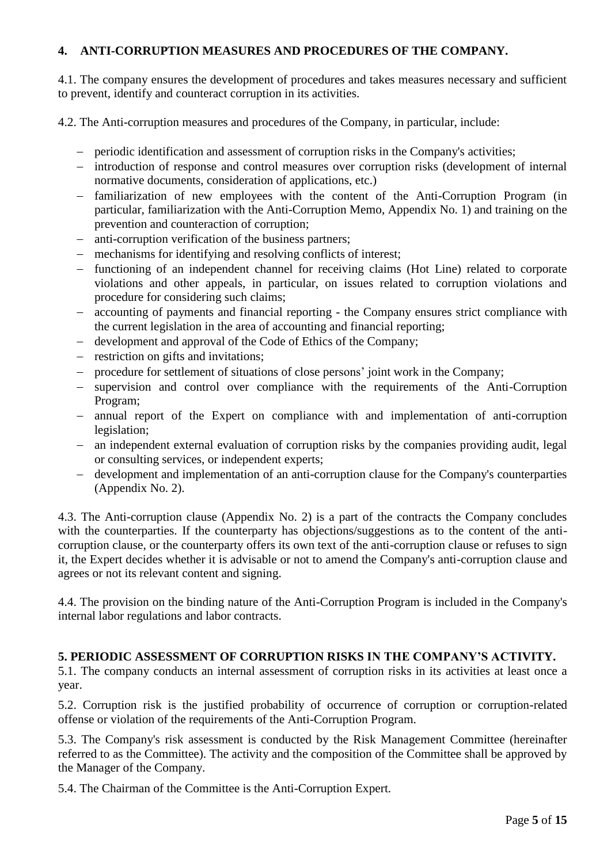# **4. ANTI-CORRUPTION MEASURES AND PROCEDURES OF THE COMPANY.**

4.1. The company ensures the development of procedures and takes measures necessary and sufficient to prevent, identify and counteract corruption in its activities.

4.2. The Anti-corruption measures and procedures of the Company, in particular, include:

- − periodic identification and assessment of corruption risks in the Company's activities;
- − introduction of response and control measures over corruption risks (development of internal normative documents, consideration of applications, etc.)
- − familiarization of new employees with the content of the Anti-Corruption Program (in particular, familiarization with the Anti-Corruption Memo, Appendix No. 1) and training on the prevention and counteraction of corruption;
- anti-corruption verification of the business partners;
- − mechanisms for identifying and resolving conflicts of interest;
- − functioning of an independent channel for receiving claims (Hot Line) related to corporate violations and other appeals, in particular, on issues related to corruption violations and procedure for considering such claims;
- − accounting of payments and financial reporting the Company ensures strict compliance with the current legislation in the area of accounting and financial reporting;
- − development and approval of the Code of Ethics of the Company;
- restriction on gifts and invitations;
- − procedure for settlement of situations of close persons' joint work in the Company;
- − supervision and control over compliance with the requirements of the Anti-Corruption Program;
- − annual report of the Expert on compliance with and implementation of anti-corruption legislation;
- − an independent external evaluation of corruption risks by the companies providing audit, legal or consulting services, or independent experts;
- − development and implementation of an anti-corruption clause for the Company's counterparties (Appendix No. 2).

4.3. The Anti-corruption clause (Appendix No. 2) is a part of the contracts the Company concludes with the counterparties. If the counterparty has objections/suggestions as to the content of the anticorruption clause, or the counterparty offers its own text of the anti-corruption clause or refuses to sign it, the Expert decides whether it is advisable or not to amend the Company's anti-corruption clause and agrees or not its relevant content and signing.

4.4. The provision on the binding nature of the Anti-Corruption Program is included in the Company's internal labor regulations and labor contracts.

## **5. PERIODIC ASSESSMENT OF CORRUPTION RISKS IN THE COMPANY'S ACTIVITY.**

5.1. The company conducts an internal assessment of corruption risks in its activities at least once a year.

5.2. Corruption risk is the justified probability of occurrence of corruption or corruption-related offense or violation of the requirements of the Anti-Corruption Program.

5.3. The Company's risk assessment is conducted by the Risk Management Committee (hereinafter referred to as the Committee). The activity and the composition of the Committee shall be approved by the Manager of the Company.

5.4. The Chairman of the Committee is the Anti-Corruption Expert.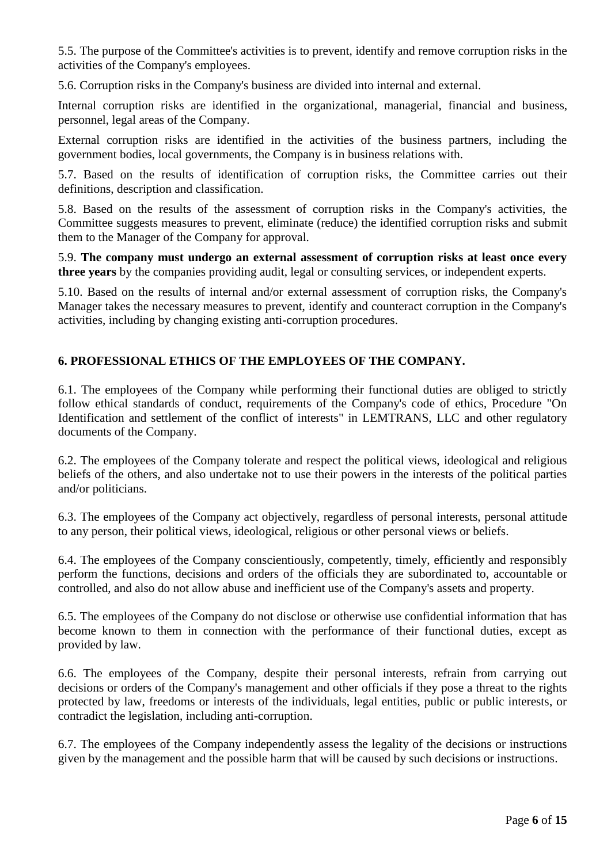5.5. The purpose of the Committee's activities is to prevent, identify and remove corruption risks in the activities of the Company's employees.

5.6. Corruption risks in the Company's business are divided into internal and external.

Internal corruption risks are identified in the organizational, managerial, financial and business, personnel, legal areas of the Company.

External corruption risks are identified in the activities of the business partners, including the government bodies, local governments, the Company is in business relations with.

5.7. Based on the results of identification of corruption risks, the Committee carries out their definitions, description and classification.

5.8. Based on the results of the assessment of corruption risks in the Company's activities, the Committee suggests measures to prevent, eliminate (reduce) the identified corruption risks and submit them to the Manager of the Company for approval.

5.9. **The company must undergo an external assessment of corruption risks at least once every three years** by the companies providing audit, legal or consulting services, or independent experts.

5.10. Based on the results of internal and/or external assessment of corruption risks, the Company's Manager takes the necessary measures to prevent, identify and counteract corruption in the Company's activities, including by changing existing anti-corruption procedures.

# **6. PROFESSIONAL ETHICS OF THE EMPLOYEES OF THE COMPANY.**

6.1. The employees of the Company while performing their functional duties are obliged to strictly follow ethical standards of conduct, requirements of the Company's code of ethics, Procedure "On Identification and settlement of the conflict of interests" in LEMTRANS, LLC and other regulatory documents of the Company.

6.2. The employees of the Company tolerate and respect the political views, ideological and religious beliefs of the others, and also undertake not to use their powers in the interests of the political parties and/or politicians.

6.3. The employees of the Company act objectively, regardless of personal interests, personal attitude to any person, their political views, ideological, religious or other personal views or beliefs.

6.4. The employees of the Company conscientiously, competently, timely, efficiently and responsibly perform the functions, decisions and orders of the officials they are subordinated to, accountable or controlled, and also do not allow abuse and inefficient use of the Company's assets and property.

6.5. The employees of the Company do not disclose or otherwise use confidential information that has become known to them in connection with the performance of their functional duties, except as provided by law.

6.6. The employees of the Company, despite their personal interests, refrain from carrying out decisions or orders of the Company's management and other officials if they pose a threat to the rights protected by law, freedoms or interests of the individuals, legal entities, public or public interests, or contradict the legislation, including anti-corruption.

6.7. The employees of the Company independently assess the legality of the decisions or instructions given by the management and the possible harm that will be caused by such decisions or instructions.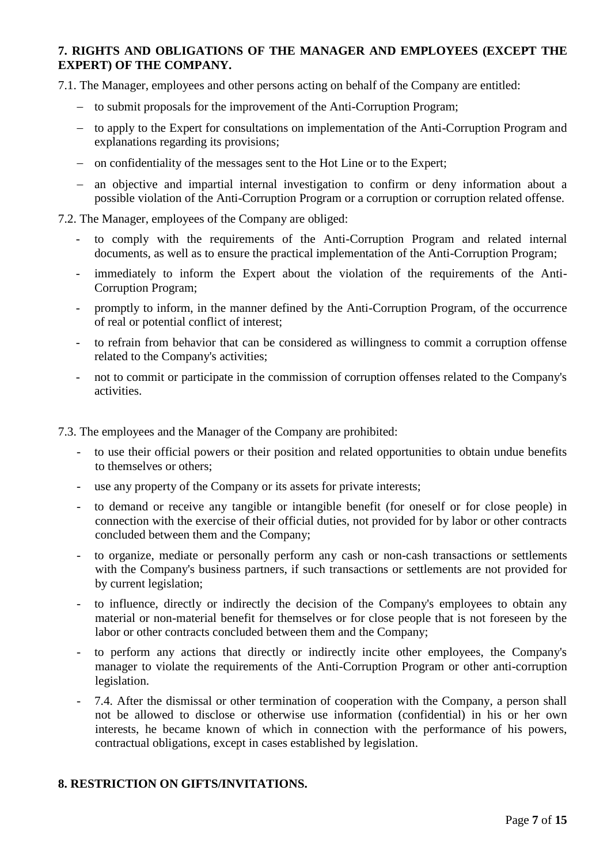## **7. RIGHTS AND OBLIGATIONS OF THE MANAGER AND EMPLOYEES (EXCEPT THE EXPERT) OF THE COMPANY.**

7.1. The Manager, employees and other persons acting on behalf of the Company are entitled:

- − to submit proposals for the improvement of the Anti-Corruption Program;
- − to apply to the Expert for consultations on implementation of the Anti-Corruption Program and explanations regarding its provisions;
- − on confidentiality of the messages sent to the Hot Line or to the Expert;
- − an objective and impartial internal investigation to confirm or deny information about a possible violation of the Anti-Corruption Program or a corruption or corruption related offense.
- 7.2. The Manager, employees of the Company are obliged:
	- to comply with the requirements of the Anti-Corruption Program and related internal documents, as well as to ensure the practical implementation of the Anti-Corruption Program;
	- immediately to inform the Expert about the violation of the requirements of the Anti-Corruption Program;
	- promptly to inform, in the manner defined by the Anti-Corruption Program, of the occurrence of real or potential conflict of interest;
	- to refrain from behavior that can be considered as willingness to commit a corruption offense related to the Company's activities;
	- not to commit or participate in the commission of corruption offenses related to the Company's activities.

7.3. The employees and the Manager of the Company are prohibited:

- to use their official powers or their position and related opportunities to obtain undue benefits to themselves or others;
- use any property of the Company or its assets for private interests;
- to demand or receive any tangible or intangible benefit (for oneself or for close people) in connection with the exercise of their official duties, not provided for by labor or other contracts concluded between them and the Company;
- to organize, mediate or personally perform any cash or non-cash transactions or settlements with the Company's business partners, if such transactions or settlements are not provided for by current legislation;
- to influence, directly or indirectly the decision of the Company's employees to obtain any material or non-material benefit for themselves or for close people that is not foreseen by the labor or other contracts concluded between them and the Company;
- to perform any actions that directly or indirectly incite other employees, the Company's manager to violate the requirements of the Anti-Corruption Program or other anti-corruption legislation.
- 7.4. After the dismissal or other termination of cooperation with the Company, a person shall not be allowed to disclose or otherwise use information (confidential) in his or her own interests, he became known of which in connection with the performance of his powers, contractual obligations, except in cases established by legislation.

## **8. RESTRICTION ON GIFTS/INVITATIONS.**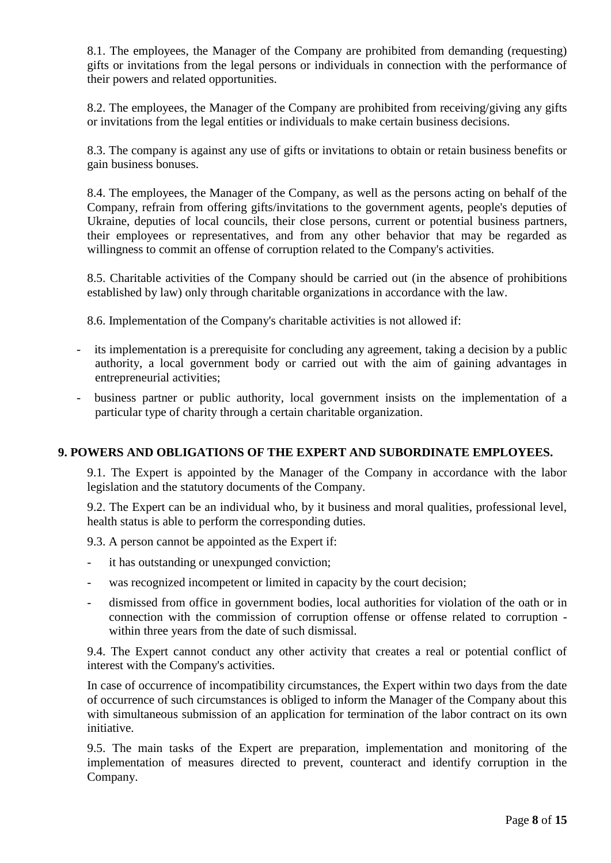8.1. The employees, the Manager of the Company are prohibited from demanding (requesting) gifts or invitations from the legal persons or individuals in connection with the performance of their powers and related opportunities.

8.2. The employees, the Manager of the Company are prohibited from receiving/giving any gifts or invitations from the legal entities or individuals to make certain business decisions.

8.3. The company is against any use of gifts or invitations to obtain or retain business benefits or gain business bonuses.

8.4. The employees, the Manager of the Company, as well as the persons acting on behalf of the Company, refrain from offering gifts/invitations to the government agents, people's deputies of Ukraine, deputies of local councils, their close persons, current or potential business partners, their employees or representatives, and from any other behavior that may be regarded as willingness to commit an offense of corruption related to the Company's activities.

8.5. Charitable activities of the Company should be carried out (in the absence of prohibitions established by law) only through charitable organizations in accordance with the law.

8.6. Implementation of the Company's charitable activities is not allowed if:

- its implementation is a prerequisite for concluding any agreement, taking a decision by a public authority, a local government body or carried out with the aim of gaining advantages in entrepreneurial activities;
- business partner or public authority, local government insists on the implementation of a particular type of charity through a certain charitable organization.

#### **9. POWERS AND OBLIGATIONS OF THE EXPERT AND SUBORDINATE EMPLOYEES.**

9.1. The Expert is appointed by the Manager of the Company in accordance with the labor legislation and the statutory documents of the Company.

9.2. The Expert can be an individual who, by it business and moral qualities, professional level, health status is able to perform the corresponding duties.

9.3. A person cannot be appointed as the Expert if:

- it has outstanding or unexpunged conviction;
- was recognized incompetent or limited in capacity by the court decision;
- dismissed from office in government bodies, local authorities for violation of the oath or in connection with the commission of corruption offense or offense related to corruption within three years from the date of such dismissal.

9.4. The Expert cannot conduct any other activity that creates a real or potential conflict of interest with the Company's activities.

In case of occurrence of incompatibility circumstances, the Expert within two days from the date of occurrence of such circumstances is obliged to inform the Manager of the Company about this with simultaneous submission of an application for termination of the labor contract on its own initiative.

9.5. The main tasks of the Expert are preparation, implementation and monitoring of the implementation of measures directed to prevent, counteract and identify corruption in the Company.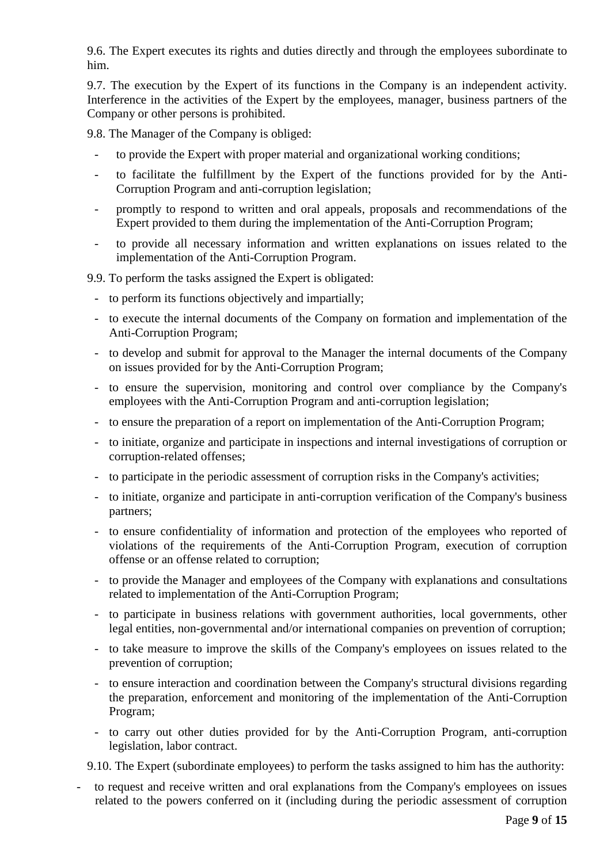9.6. The Expert executes its rights and duties directly and through the employees subordinate to him.

9.7. The execution by the Expert of its functions in the Company is an independent activity. Interference in the activities of the Expert by the employees, manager, business partners of the Company or other persons is prohibited.

9.8. The Manager of the Company is obliged:

- to provide the Expert with proper material and organizational working conditions;
- to facilitate the fulfillment by the Expert of the functions provided for by the Anti-Corruption Program and anti-corruption legislation;
- promptly to respond to written and oral appeals, proposals and recommendations of the Expert provided to them during the implementation of the Anti-Corruption Program;
- to provide all necessary information and written explanations on issues related to the implementation of the Anti-Corruption Program.

9.9. To perform the tasks assigned the Expert is obligated:

- to perform its functions objectively and impartially;
- to execute the internal documents of the Company on formation and implementation of the Anti-Corruption Program;
- to develop and submit for approval to the Manager the internal documents of the Company on issues provided for by the Anti-Corruption Program;
- to ensure the supervision, monitoring and control over compliance by the Company's employees with the Anti-Corruption Program and anti-corruption legislation;
- to ensure the preparation of a report on implementation of the Anti-Corruption Program;
- to initiate, organize and participate in inspections and internal investigations of corruption or corruption-related offenses;
- to participate in the periodic assessment of corruption risks in the Company's activities;
- to initiate, organize and participate in anti-corruption verification of the Company's business partners;
- to ensure confidentiality of information and protection of the employees who reported of violations of the requirements of the Anti-Corruption Program, execution of corruption offense or an offense related to corruption;
- to provide the Manager and employees of the Company with explanations and consultations related to implementation of the Anti-Corruption Program;
- to participate in business relations with government authorities, local governments, other legal entities, non-governmental and/or international companies on prevention of corruption;
- to take measure to improve the skills of the Company's employees on issues related to the prevention of corruption;
- to ensure interaction and coordination between the Company's structural divisions regarding the preparation, enforcement and monitoring of the implementation of the Anti-Corruption Program;
- to carry out other duties provided for by the Anti-Corruption Program, anti-corruption legislation, labor contract.

9.10. The Expert (subordinate employees) to perform the tasks assigned to him has the authority:

- to request and receive written and oral explanations from the Company's employees on issues related to the powers conferred on it (including during the periodic assessment of corruption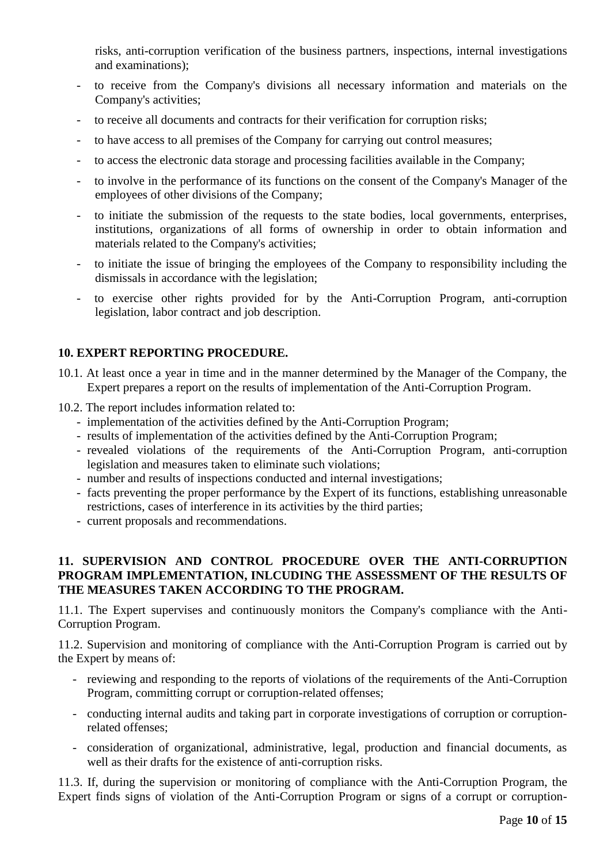risks, anti-corruption verification of the business partners, inspections, internal investigations and examinations);

- to receive from the Company's divisions all necessary information and materials on the Company's activities;
- to receive all documents and contracts for their verification for corruption risks;
- to have access to all premises of the Company for carrying out control measures;
- to access the electronic data storage and processing facilities available in the Company;
- to involve in the performance of its functions on the consent of the Company's Manager of the employees of other divisions of the Company;
- to initiate the submission of the requests to the state bodies, local governments, enterprises, institutions, organizations of all forms of ownership in order to obtain information and materials related to the Company's activities;
- to initiate the issue of bringing the employees of the Company to responsibility including the dismissals in accordance with the legislation;
- to exercise other rights provided for by the Anti-Corruption Program, anti-corruption legislation, labor contract and job description.

## **10. EXPERT REPORTING PROCEDURE.**

- 10.1. At least once a year in time and in the manner determined by the Manager of the Company, the Expert prepares a report on the results of implementation of the Anti-Corruption Program.
- 10.2. The report includes information related to:
	- implementation of the activities defined by the Anti-Corruption Program;
	- results of implementation of the activities defined by the Anti-Corruption Program;
	- revealed violations of the requirements of the Anti-Corruption Program, anti-corruption legislation and measures taken to eliminate such violations;
	- number and results of inspections conducted and internal investigations;
	- facts preventing the proper performance by the Expert of its functions, establishing unreasonable restrictions, cases of interference in its activities by the third parties;
	- current proposals and recommendations.

## **11. SUPERVISION AND CONTROL PROCEDURE OVER THE ANTI-CORRUPTION PROGRAM IMPLEMENTATION, INLCUDING THE ASSESSMENT OF THE RESULTS OF THE MEASURES TAKEN ACCORDING TO THE PROGRAM.**

11.1. The Expert supervises and continuously monitors the Company's compliance with the Anti-Corruption Program.

11.2. Supervision and monitoring of compliance with the Anti-Corruption Program is carried out by the Expert by means of:

- reviewing and responding to the reports of violations of the requirements of the Anti-Corruption Program, committing corrupt or corruption-related offenses;
- conducting internal audits and taking part in corporate investigations of corruption or corruptionrelated offenses;
- consideration of organizational, administrative, legal, production and financial documents, as well as their drafts for the existence of anti-corruption risks.

11.3. If, during the supervision or monitoring of compliance with the Anti-Corruption Program, the Expert finds signs of violation of the Anti-Corruption Program or signs of a corrupt or corruption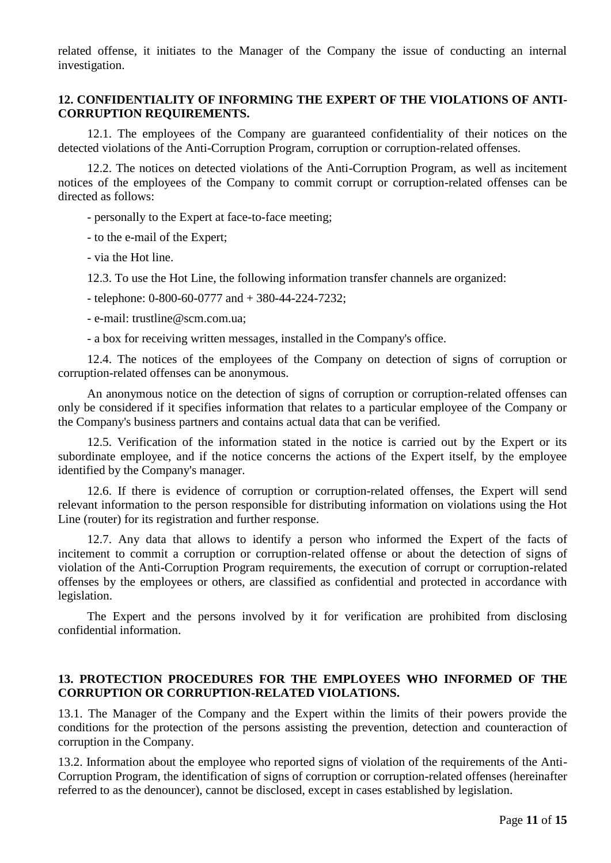related offense, it initiates to the Manager of the Company the issue of conducting an internal investigation.

## **12. CONFIDENTIALITY OF INFORMING THE EXPERT OF THE VIOLATIONS OF ANTI-CORRUPTION REQUIREMENTS.**

12.1. The employees of the Company are guaranteed confidentiality of their notices on the detected violations of the Anti-Corruption Program, corruption or corruption-related offenses.

12.2. The notices on detected violations of the Anti-Corruption Program, as well as incitement notices of the employees of the Company to commit corrupt or corruption-related offenses can be directed as follows:

- personally to the Expert at face-to-face meeting;

- to the e-mail of the Expert;

- via the Hot line.

12.3. To use the Hot Line, the following information transfer channels are organized:

- telephone: 0-800-60-0777 and + 380-44-224-7232;

- e-mail: trustline@scm.com.ua;

- a box for receiving written messages, installed in the Company's office.

12.4. The notices of the employees of the Company on detection of signs of corruption or corruption-related offenses can be anonymous.

An anonymous notice on the detection of signs of corruption or corruption-related offenses can only be considered if it specifies information that relates to a particular employee of the Company or the Company's business partners and contains actual data that can be verified.

12.5. Verification of the information stated in the notice is carried out by the Expert or its subordinate employee, and if the notice concerns the actions of the Expert itself, by the employee identified by the Company's manager.

12.6. If there is evidence of corruption or corruption-related offenses, the Expert will send relevant information to the person responsible for distributing information on violations using the Hot Line (router) for its registration and further response.

12.7. Any data that allows to identify a person who informed the Expert of the facts of incitement to commit a corruption or corruption-related offense or about the detection of signs of violation of the Anti-Corruption Program requirements, the execution of corrupt or corruption-related offenses by the employees or others, are classified as confidential and protected in accordance with legislation.

The Expert and the persons involved by it for verification are prohibited from disclosing confidential information.

#### **13. PROTECTION PROCEDURES FOR THE EMPLOYEES WHO INFORMED OF THE CORRUPTION OR CORRUPTION-RELATED VIOLATIONS.**

13.1. The Manager of the Company and the Expert within the limits of their powers provide the conditions for the protection of the persons assisting the prevention, detection and counteraction of corruption in the Company.

13.2. Information about the employee who reported signs of violation of the requirements of the Anti-Corruption Program, the identification of signs of corruption or corruption-related offenses (hereinafter referred to as the denouncer), cannot be disclosed, except in cases established by legislation.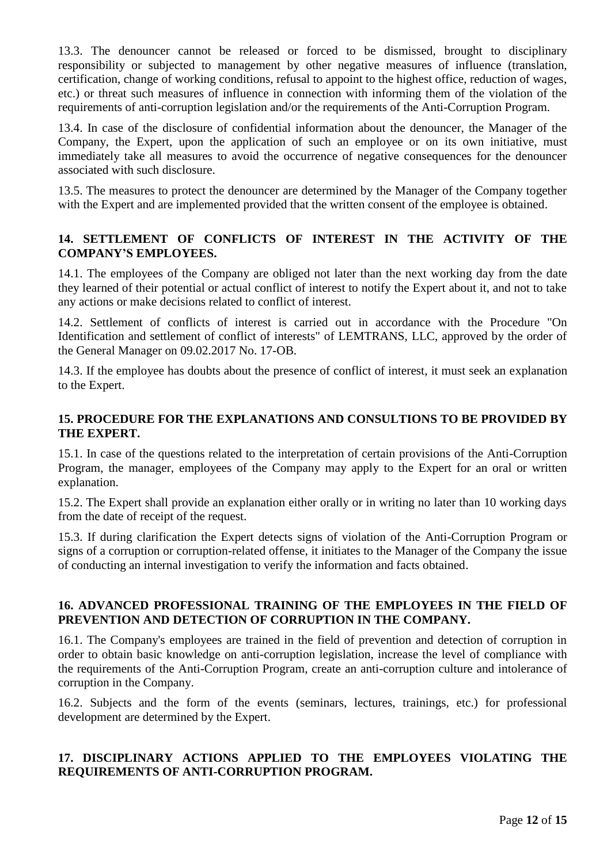13.3. The denouncer cannot be released or forced to be dismissed, brought to disciplinary responsibility or subjected to management by other negative measures of influence (translation, certification, change of working conditions, refusal to appoint to the highest office, reduction of wages, etc.) or threat such measures of influence in connection with informing them of the violation of the requirements of anti-corruption legislation and/or the requirements of the Anti-Corruption Program.

13.4. In case of the disclosure of confidential information about the denouncer, the Manager of the Company, the Expert, upon the application of such an employee or on its own initiative, must immediately take all measures to avoid the occurrence of negative consequences for the denouncer associated with such disclosure.

13.5. The measures to protect the denouncer are determined by the Manager of the Company together with the Expert and are implemented provided that the written consent of the employee is obtained.

## **14. SETTLEMENT OF CONFLICTS OF INTEREST IN THE ACTIVITY OF THE COMPANY'S EMPLOYEES.**

14.1. The employees of the Company are obliged not later than the next working day from the date they learned of their potential or actual conflict of interest to notify the Expert about it, and not to take any actions or make decisions related to conflict of interest.

14.2. Settlement of conflicts of interest is carried out in accordance with the Procedure "On Identification and settlement of conflict of interests" of LEMTRANS, LLC, approved by the order of the General Manager on 09.02.2017 No. 17-OB.

14.3. If the employee has doubts about the presence of conflict of interest, it must seek an explanation to the Expert.

## **15. PROCEDURE FOR THE EXPLANATIONS AND CONSULTIONS TO BE PROVIDED BY THE EXPERT.**

15.1. In case of the questions related to the interpretation of certain provisions of the Anti-Corruption Program, the manager, employees of the Company may apply to the Expert for an oral or written explanation.

15.2. The Expert shall provide an explanation either orally or in writing no later than 10 working days from the date of receipt of the request.

15.3. If during clarification the Expert detects signs of violation of the Anti-Corruption Program or signs of a corruption or corruption-related offense, it initiates to the Manager of the Company the issue of conducting an internal investigation to verify the information and facts obtained.

## **16. ADVANCED PROFESSIONAL TRAINING OF THE EMPLOYEES IN THE FIELD OF PREVENTION AND DETECTION OF CORRUPTION IN THE COMPANY.**

16.1. The Company's employees are trained in the field of prevention and detection of corruption in order to obtain basic knowledge on anti-corruption legislation, increase the level of compliance with the requirements of the Anti-Corruption Program, create an anti-corruption culture and intolerance of corruption in the Company.

16.2. Subjects and the form of the events (seminars, lectures, trainings, etc.) for professional development are determined by the Expert.

# **17. DISCIPLINARY ACTIONS APPLIED TO THE EMPLOYEES VIOLATING THE REQUIREMENTS OF ANTI-CORRUPTION PROGRAM.**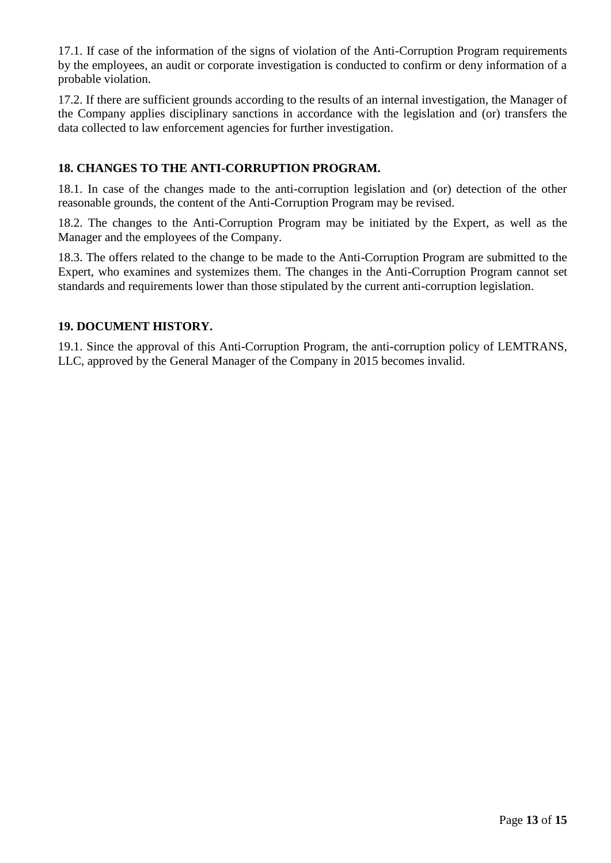17.1. If case of the information of the signs of violation of the Anti-Corruption Program requirements by the employees, an audit or corporate investigation is conducted to confirm or deny information of a probable violation.

17.2. If there are sufficient grounds according to the results of an internal investigation, the Manager of the Company applies disciplinary sanctions in accordance with the legislation and (or) transfers the data collected to law enforcement agencies for further investigation.

## **18. CHANGES TO THE ANTI-CORRUPTION PROGRAM.**

18.1. In case of the changes made to the anti-corruption legislation and (or) detection of the other reasonable grounds, the content of the Anti-Corruption Program may be revised.

18.2. The changes to the Anti-Corruption Program may be initiated by the Expert, as well as the Manager and the employees of the Company.

18.3. The offers related to the change to be made to the Anti-Corruption Program are submitted to the Expert, who examines and systemizes them. The changes in the Anti-Corruption Program cannot set standards and requirements lower than those stipulated by the current anti-corruption legislation.

## **19. DOCUMENT HISTORY.**

19.1. Since the approval of this Anti-Corruption Program, the anti-corruption policy of LEMTRANS, LLC, approved by the General Manager of the Company in 2015 becomes invalid.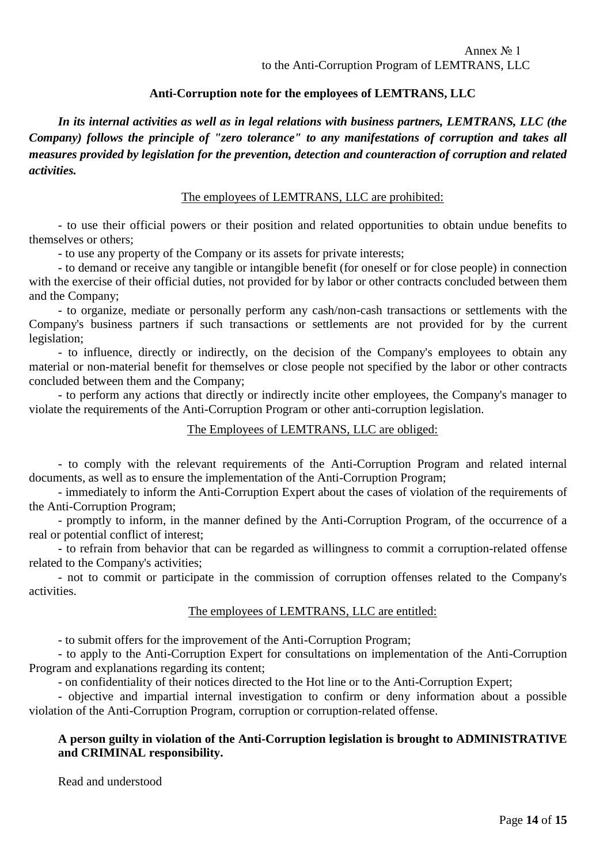## **Anti-Corruption note for the employees of LEMTRANS, LLC**

*In its internal activities as well as in legal relations with business partners, LEMTRANS, LLC (the Company) follows the principle of "zero tolerance" to any manifestations of corruption and takes all measures provided by legislation for the prevention, detection and counteraction of corruption and related activities.*

#### The employees of LEMTRANS, LLC are prohibited:

- to use their official powers or their position and related opportunities to obtain undue benefits to themselves or others;

- to use any property of the Company or its assets for private interests;

- to demand or receive any tangible or intangible benefit (for oneself or for close people) in connection with the exercise of their official duties, not provided for by labor or other contracts concluded between them and the Company;

- to organize, mediate or personally perform any cash/non-cash transactions or settlements with the Company's business partners if such transactions or settlements are not provided for by the current legislation;

- to influence, directly or indirectly, on the decision of the Company's employees to obtain any material or non-material benefit for themselves or close people not specified by the labor or other contracts concluded between them and the Company;

- to perform any actions that directly or indirectly incite other employees, the Company's manager to violate the requirements of the Anti-Corruption Program or other anti-corruption legislation.

#### The Employees of LEMTRANS, LLC are obliged:

- to comply with the relevant requirements of the Anti-Corruption Program and related internal documents, as well as to ensure the implementation of the Anti-Corruption Program;

- immediately to inform the Anti-Corruption Expert about the cases of violation of the requirements of the Anti-Corruption Program;

- promptly to inform, in the manner defined by the Anti-Corruption Program, of the occurrence of a real or potential conflict of interest;

- to refrain from behavior that can be regarded as willingness to commit a corruption-related offense related to the Company's activities;

- not to commit or participate in the commission of corruption offenses related to the Company's activities.

#### The employees of LEMTRANS, LLC are entitled:

- to submit offers for the improvement of the Anti-Corruption Program;

- to apply to the Anti-Corruption Expert for consultations on implementation of the Anti-Corruption Program and explanations regarding its content;

- on confidentiality of their notices directed to the Hot line or to the Anti-Corruption Expert;

- objective and impartial internal investigation to confirm or deny information about a possible violation of the Anti-Corruption Program, corruption or corruption-related offense.

#### **A person guilty in violation of the Anti-Corruption legislation is brought to ADMINISTRATIVE and CRIMINAL responsibility.**

Read and understood